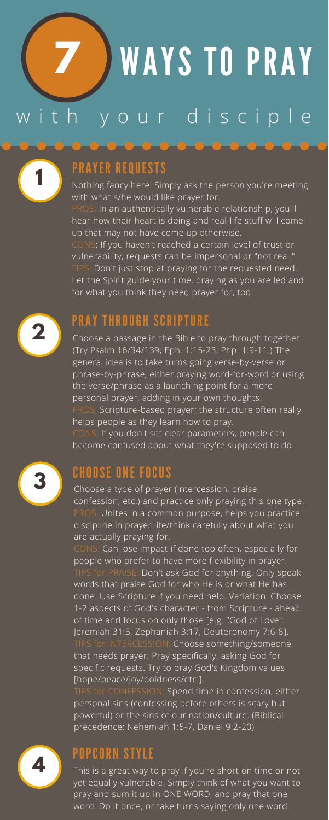### PRAYER REQUESTS

**1** Nothing fancy here! Simply ask the person you're meeting with what s/he would like prayer for.

PROS: In an authentically vulnerable relationship, you'll hear how their heart is doing and real-life stuff will come up that may not have come up otherwise.

# WAYS TO PRAY with your disciple **7**

CONS: If you haven't reached a certain level of trust or vulnerability, requests can be impersonal or "not real." TIPS: Don't just stop at praying for the requested need. Let the Spirit guide your time, praying as you are led and for what you think they need prayer for, too!



**PRAY THROUGH SCRIPTURE**<br>**2** Choose a passage in the Bible to pray through together. (Try Psalm 16/34/139; Eph. 1:15-23, Php. 1:9-11.) The general idea is to take turns going verse-by-verse or phrase-by-phrase, either praying word-for-word or using the verse/phrase as a launching point for a more personal prayer, adding in your own thoughts. PROS: Scripture-based prayer; the structure often really helps people as they learn how to pray. CONS: If you don't set clear parameters, people can become confused about what they're supposed to do.

**CHOOSE ONE FOCUS**<br>Choose a type of prayer (intercession, praise,



confession, etc.) and practice only praying this one type. PROS: Unites in a common purpose, helps you practice discipline in prayer life/think carefully about what you are actually praying for.

CONS: Can lose impact if done too often, especially for people who prefer to have more flexibility in prayer. TIPS for PRAISE: Don't ask God for anything. Only speak words that praise God for who He is or what He has done. Use Scripture if you need help. Variation: Choose 1-2 aspects of God's character - from Scripture - ahead of time and focus on only those [e.g. "God of Love": Jeremiah 31:3, Zephaniah 3:17, Deuteronomy 7:6-8]. TIPS for INTERCESSION: Choose something/someone that needs prayer. Pray specifically, asking God for specific requests. Try to pray God's Kingdom values [hope/peace/joy/boldness/etc.].

TIPS for CONFESSION: Spend time in confession, either personal sins (confessing before others is scary but powerful) or the sins of our nation/culture. (Biblical precedence: Nehemiah 1:5-7, Daniel 9:2-20)



### POPCORN STYLE

**4** This is <sup>a</sup> great way to pray if you're short on time or not yet equally vulnerable. Simply think of what you want to pray and sum it up in ONE WORD, and pray that one word. Do it once, or take turns saying only one word.